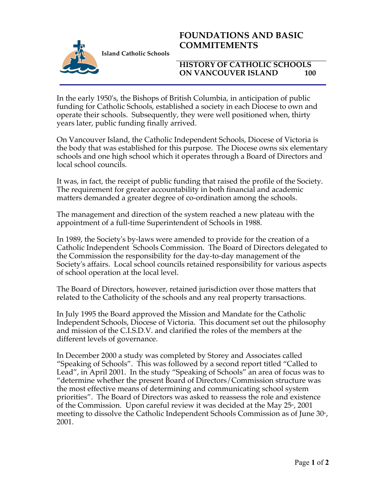

## **FOUNDATIONS AND BASIC COMMITEMENTS**

## **HISTORY OF CATHOLIC SCHOOLS ON VANCOUVER ISLAND 100**

In the early 1950's, the Bishops of British Columbia, in anticipation of public funding for Catholic Schools, established a society in each Diocese to own and operate their schools. Subsequently, they were well positioned when, thirty years later, public funding finally arrived.

On Vancouver Island, the Catholic Independent Schools, Diocese of Victoria is the body that was established for this purpose. The Diocese owns six elementary schools and one high school which it operates through a Board of Directors and local school councils.

It was, in fact, the receipt of public funding that raised the profile of the Society. The requirement for greater accountability in both financial and academic matters demanded a greater degree of co-ordination among the schools.

The management and direction of the system reached a new plateau with the appointment of a full-time Superintendent of Schools in 1988.

In 1989, the Society's by-laws were amended to provide for the creation of a Catholic Independent Schools Commission. The Board of Directors delegated to the Commission the responsibility for the day-to-day management of the Society's affairs. Local school councils retained responsibility for various aspects of school operation at the local level.

The Board of Directors, however, retained jurisdiction over those matters that related to the Catholicity of the schools and any real property transactions.

In July 1995 the Board approved the Mission and Mandate for the Catholic Independent Schools, Diocese of Victoria. This document set out the philosophy and mission of the C.I.S.D.V. and clarified the roles of the members at the different levels of governance.

In December 2000 a study was completed by Storey and Associates called "Speaking of Schools". This was followed by a second report titled "Called to Lead", in April 2001. In the study "Speaking of Schools" an area of focus was to "determine whether the present Board of Directors/Commission structure was the most effective means of determining and communicating school system priorities". The Board of Directors was asked to reassess the role and existence of the Commission. Upon careful review it was decided at the May  $25^{\circ}$ , 2001 meeting to dissolve the Catholic Independent Schools Commission as of June  $30<sup>th</sup>$ , 2001.